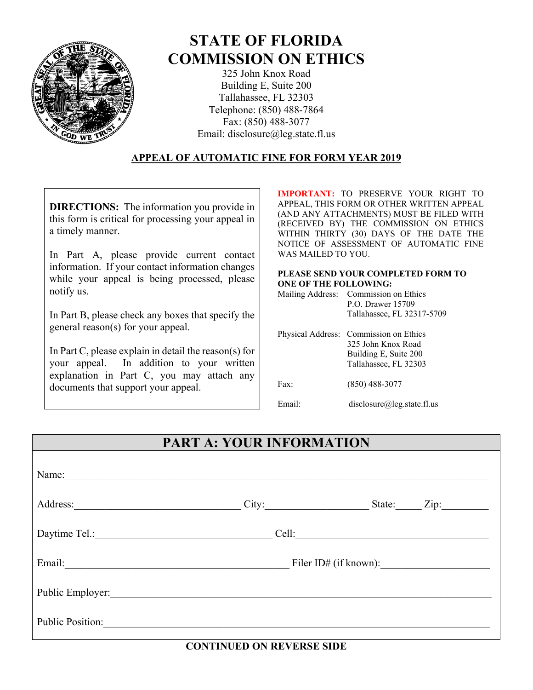

# **STATE OF FLORIDA COMMISSION ON ETHICS**

325 John Knox Road Building E, Suite 200 Tallahassee, FL 32303 Telephone: (850) 488-7864 Fax: (850) 488-3077 Email: disclosure@leg.state.fl.us

#### **APPEAL OF AUTOMATIC FINE FOR FORM YEAR 2019**

**DIRECTIONS:** The information you provide in this form is critical for processing your appeal in a timely manner.

In Part A, please provide current contact information. If your contact information changes while your appeal is being processed, please notify us.

In Part B, please check any boxes that specify the general reason(s) for your appeal.

In Part C, please explain in detail the reason(s) for your appeal. In addition to your written explanation in Part C, you may attach any documents that support your appeal.

**IMPORTANT:** TO PRESERVE YOUR RIGHT TO APPEAL, THIS FORM OR OTHER WRITTEN APPEAL (AND ANY ATTACHMENTS) MUST BE FILED WITH (RECEIVED BY) THE COMMISSION ON ETHICS WITHIN THIRTY (30) DAYS OF THE DATE THE NOTICE OF ASSESSMENT OF AUTOMATIC FINE WAS MAILED TO YOU.

#### **PLEASE SEND YOUR COMPLETED FORM TO ONE OF THE FOLLOWING:**

| Mailing Address: Commission on Ethics |
|---------------------------------------|
| P.O. Drawer 15709                     |
| Tallahassee, FL 32317-5709            |

|        | Physical Address: Commission on Ethics<br>325 John Knox Road<br>Building E, Suite 200<br>Tallahassee, FL 32303 |
|--------|----------------------------------------------------------------------------------------------------------------|
| Fax    | $(850)$ 488-3077                                                                                               |
| Email· | disclosure@leg.state.fl.us                                                                                     |

# **PART A: YOUR INFORMATION**

| Name:                                                          |       |             |
|----------------------------------------------------------------|-------|-------------|
| Address:                                                       | City: | State: Zip: |
| Daytime Tel.:<br><u> 1980 - Andrea Andrew Maria (h. 1980).</u> | Cell: |             |
| Email:                                                         |       |             |
| Public Employer:                                               |       |             |
| <b>Public Position:</b>                                        |       |             |